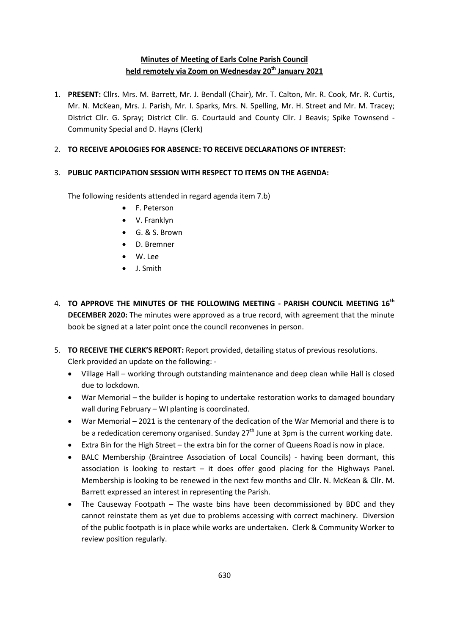# **Minutes of Meeting of Earls Colne Parish Council held remotely via Zoom on Wednesday 20th January 2021**

1. **PRESENT:** Cllrs. Mrs. M. Barrett, Mr. J. Bendall (Chair), Mr. T. Calton, Mr. R. Cook, Mr. R. Curtis, Mr. N. McKean, Mrs. J. Parish, Mr. I. Sparks, Mrs. N. Spelling, Mr. H. Street and Mr. M. Tracey; District Cllr. G. Spray; District Cllr. G. Courtauld and County Cllr. J Beavis; Spike Townsend - Community Special and D. Hayns (Clerk)

## 2. **TO RECEIVE APOLOGIES FOR ABSENCE: TO RECEIVE DECLARATIONS OF INTEREST:**

## 3. **PUBLIC PARTICIPATION SESSION WITH RESPECT TO ITEMS ON THE AGENDA:**

The following residents attended in regard agenda item 7.b)

- F. Peterson
- V. Franklyn
- G. & S. Brown
- D. Bremner
- W. Lee
- J. Smith
- 4. **TO APPROVE THE MINUTES OF THE FOLLOWING MEETING - PARISH COUNCIL MEETING 16th DECEMBER 2020:** The minutes were approved as a true record, with agreement that the minute book be signed at a later point once the council reconvenes in person.
- 5. **TO RECEIVE THE CLERK'S REPORT:** Report provided, detailing status of previous resolutions. Clerk provided an update on the following: -
	- Village Hall working through outstanding maintenance and deep clean while Hall is closed due to lockdown.
	- War Memorial the builder is hoping to undertake restoration works to damaged boundary wall during February – WI planting is coordinated.
	- War Memorial 2021 is the centenary of the dedication of the War Memorial and there is to be a rededication ceremony organised. Sunday  $27<sup>th</sup>$  June at 3pm is the current working date.
	- Extra Bin for the High Street the extra bin for the corner of Queens Road is now in place.
	- BALC Membership (Braintree Association of Local Councils) having been dormant, this association is looking to restart  $-$  it does offer good placing for the Highways Panel. Membership is looking to be renewed in the next few months and Cllr. N. McKean & Cllr. M. Barrett expressed an interest in representing the Parish.
	- The Causeway Footpath The waste bins have been decommissioned by BDC and they cannot reinstate them as yet due to problems accessing with correct machinery. Diversion of the public footpath is in place while works are undertaken. Clerk & Community Worker to review position regularly.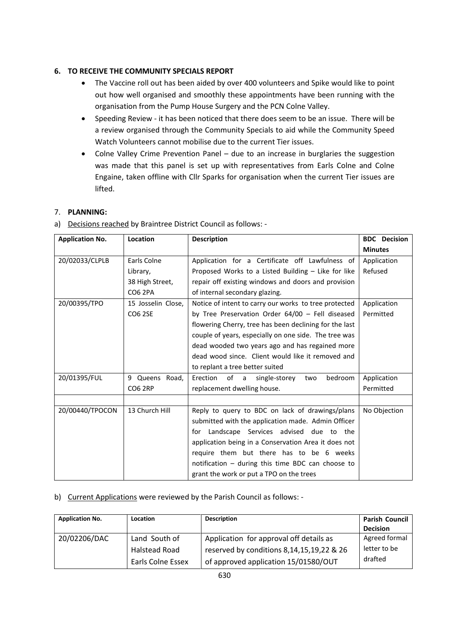## **6. TO RECEIVE THE COMMUNITY SPECIALS REPORT**

- The Vaccine roll out has been aided by over 400 volunteers and Spike would like to point out how well organised and smoothly these appointments have been running with the organisation from the Pump House Surgery and the PCN Colne Valley.
- Speeding Review it has been noticed that there does seem to be an issue. There will be a review organised through the Community Specials to aid while the Community Speed Watch Volunteers cannot mobilise due to the current Tier issues.
- Colne Valley Crime Prevention Panel due to an increase in burglaries the suggestion was made that this panel is set up with representatives from Earls Colne and Colne Engaine, taken offline with Cllr Sparks for organisation when the current Tier issues are lifted.

# 7. **PLANNING:**

a) Decisions reached by Braintree District Council as follows: -

| <b>Application No.</b> | Location           | <b>Description</b>                                     | <b>BDC</b> Decision |
|------------------------|--------------------|--------------------------------------------------------|---------------------|
|                        |                    |                                                        | <b>Minutes</b>      |
| 20/02033/CLPLB         | Earls Colne        | Application for a Certificate off Lawfulness of        | Application         |
|                        | Library,           | Proposed Works to a Listed Building - Like for like    | Refused             |
|                        | 38 High Street,    | repair off existing windows and doors and provision    |                     |
|                        | <b>CO6 2PA</b>     | of internal secondary glazing.                         |                     |
| 20/00395/TPO           | 15 Josselin Close, | Notice of intent to carry our works to tree protected  | Application         |
|                        | <b>CO6 2SE</b>     | by Tree Preservation Order $64/00$ - Fell diseased     | Permitted           |
|                        |                    | flowering Cherry, tree has been declining for the last |                     |
|                        |                    | couple of years, especially on one side. The tree was  |                     |
|                        |                    | dead wooded two years ago and has regained more        |                     |
|                        |                    | dead wood since. Client would like it removed and      |                     |
|                        |                    | to replant a tree better suited                        |                     |
| 20/01395/FUL           | 9 Queens Road,     | Erection of a single-storey<br>bedroom<br>two          | Application         |
|                        | <b>CO6 2RP</b>     | replacement dwelling house.                            | Permitted           |
|                        |                    |                                                        |                     |
| 20/00440/TPOCON        | 13 Church Hill     | Reply to query to BDC on lack of drawings/plans        | No Objection        |
|                        |                    | submitted with the application made. Admin Officer     |                     |
|                        |                    | for Landscape Services advised due to the              |                     |
|                        |                    | application being in a Conservation Area it does not   |                     |
|                        |                    | require them but there has to be 6 weeks               |                     |
|                        |                    | notification - during this time BDC can choose to      |                     |
|                        |                    | grant the work or put a TPO on the trees               |                     |

## b) Current Applications were reviewed by the Parish Council as follows: -

| <b>Application No.</b> | <b>Location</b>   | <b>Description</b>                        | <b>Parish Council</b><br><b>Decision</b> |
|------------------------|-------------------|-------------------------------------------|------------------------------------------|
| 20/02206/DAC           | Land South of     | Application for approval off details as   | Agreed formal                            |
|                        | Halstead Road     | reserved by conditions 8,14,15,19,22 & 26 | letter to be                             |
|                        | Earls Colne Essex | of approved application 15/01580/OUT      | drafted                                  |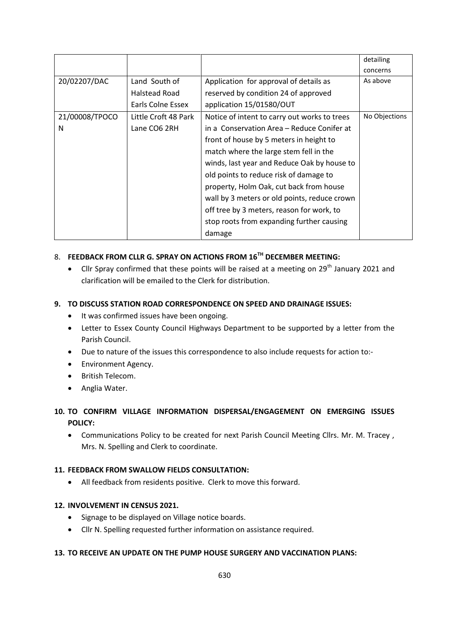|                |                      |                                              | detailing     |
|----------------|----------------------|----------------------------------------------|---------------|
|                |                      |                                              | concerns      |
| 20/02207/DAC   | Land South of        | Application for approval of details as       | As above      |
|                | Halstead Road        | reserved by condition 24 of approved         |               |
|                | Earls Colne Essex    | application 15/01580/OUT                     |               |
| 21/00008/TPOCO | Little Croft 48 Park | Notice of intent to carry out works to trees | No Objections |
| N              | Lane CO6 2RH         | in a Conservation Area – Reduce Conifer at   |               |
|                |                      | front of house by 5 meters in height to      |               |
|                |                      | match where the large stem fell in the       |               |
|                |                      | winds, last year and Reduce Oak by house to  |               |
|                |                      | old points to reduce risk of damage to       |               |
|                |                      | property, Holm Oak, cut back from house      |               |
|                |                      | wall by 3 meters or old points, reduce crown |               |
|                |                      | off tree by 3 meters, reason for work, to    |               |
|                |                      | stop roots from expanding further causing    |               |
|                |                      | damage                                       |               |

# 8. **FEEDBACK FROM CLLR G. SPRAY ON ACTIONS FROM 16TH DECEMBER MEETING:**

 $\bullet$  Cllr Spray confirmed that these points will be raised at a meeting on 29<sup>th</sup> January 2021 and clarification will be emailed to the Clerk for distribution.

## **9. TO DISCUSS STATION ROAD CORRESPONDENCE ON SPEED AND DRAINAGE ISSUES:**

- It was confirmed issues have been ongoing.
- Letter to Essex County Council Highways Department to be supported by a letter from the Parish Council.
- Due to nature of the issues this correspondence to also include requests for action to:-
- **•** Environment Agency.
- British Telecom.
- Anglia Water.

# **10. TO CONFIRM VILLAGE INFORMATION DISPERSAL/ENGAGEMENT ON EMERGING ISSUES POLICY:**

 Communications Policy to be created for next Parish Council Meeting Cllrs. Mr. M. Tracey , Mrs. N. Spelling and Clerk to coordinate.

#### **11. FEEDBACK FROM SWALLOW FIELDS CONSULTATION:**

All feedback from residents positive. Clerk to move this forward.

#### **12. INVOLVEMENT IN CENSUS 2021.**

- Signage to be displayed on Village notice boards.
- Cllr N. Spelling requested further information on assistance required.

#### **13. TO RECEIVE AN UPDATE ON THE PUMP HOUSE SURGERY AND VACCINATION PLANS:**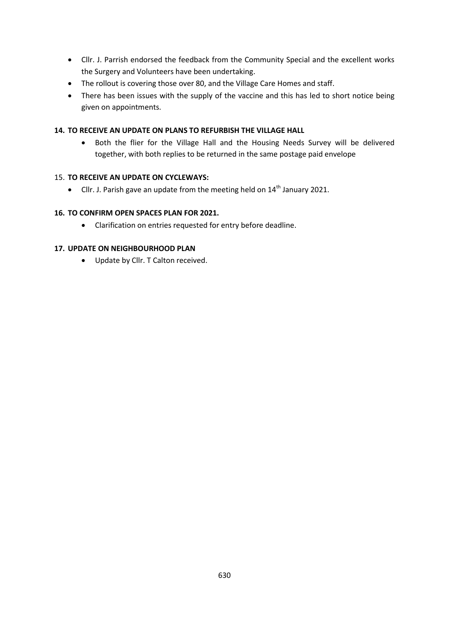- Cllr. J. Parrish endorsed the feedback from the Community Special and the excellent works the Surgery and Volunteers have been undertaking.
- The rollout is covering those over 80, and the Village Care Homes and staff.
- There has been issues with the supply of the vaccine and this has led to short notice being given on appointments.

### **14. TO RECEIVE AN UPDATE ON PLANS TO REFURBISH THE VILLAGE HALL**

 Both the flier for the Village Hall and the Housing Needs Survey will be delivered together, with both replies to be returned in the same postage paid envelope

## 15. **TO RECEIVE AN UPDATE ON CYCLEWAYS:**

 $\bullet$  Cllr. J. Parish gave an update from the meeting held on 14<sup>th</sup> January 2021.

### **16. TO CONFIRM OPEN SPACES PLAN FOR 2021.**

Clarification on entries requested for entry before deadline.

### **17. UPDATE ON NEIGHBOURHOOD PLAN**

• Update by Cllr. T Calton received.